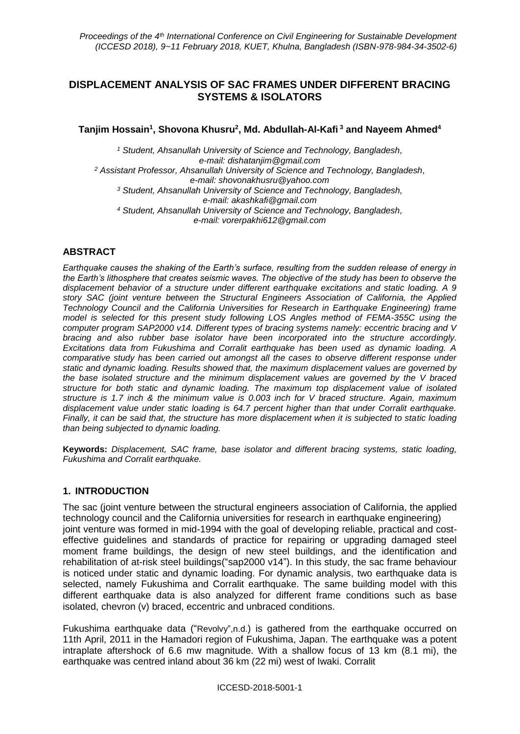# **DISPLACEMENT ANALYSIS OF SAC FRAMES UNDER DIFFERENT BRACING SYSTEMS & ISOLATORS**

**Tanjim Hossain<sup>1</sup> , Shovona Khusru<sup>2</sup> , Md. Abdullah-Al-Kafi <sup>3</sup> and Nayeem Ahmed<sup>4</sup>**

*<sup>1</sup> Student, Ahsanullah University of Science and Technology, Bangladesh, e-mail: [dishatanjim@gmail.com](mailto:dishatanjim@gmail.com) <sup>2</sup> Assistant Professor, Ahsanullah University of Science and Technology, Bangladesh, e-mail: [shovonakhusru@yahoo.com](mailto:shovonakhusru@yahoo.com) <sup>3</sup> Student, Ahsanullah University of Science and Technology, Bangladesh, e-mail: [akashkafi@gmail.com](mailto:akashkafi@gmail.com) <sup>4</sup> Student, Ahsanullah University of Science and Technology, Bangladesh, e-mail: [vorerpakhi612@gmail.com](mailto:vorerpakhi612@gmail.com)*

# **ABSTRACT**

*Earthquake causes the shaking of the Earth's surface, resulting from the sudden release of energy in the Earth's lithosphere that creates seismic waves. The objective of the study has been to observe the displacement behavior of a structure under different earthquake excitations and static loading. A 9 story SAC (joint venture between the Structural Engineers Association of California, the Applied Technology Council and the California Universities for Research in Earthquake Engineering) frame model is selected for this present study following LOS Angles method of FEMA-355C using the computer program SAP2000 v14. Different types of bracing systems namely: eccentric bracing and V bracing and also rubber base isolator have been incorporated into the structure accordingly. Excitations data from Fukushima and Corralit earthquake has been used as dynamic loading. A comparative study has been carried out amongst all the cases to observe different response under static and dynamic loading. Results showed that, the maximum displacement values are governed by the base isolated structure and the minimum displacement values are governed by the V braced structure for both static and dynamic loading. The maximum top displacement value of isolated structure is 1.7 inch & the minimum value is 0.003 inch for V braced structure. Again, maximum displacement value under static loading is 64.7 percent higher than that under Corralit earthquake. Finally, it can be said that, the structure has more displacement when it is subjected to static loading than being subjected to dynamic loading.*

**Keywords:** *Displacement, SAC frame, base isolator and different bracing systems, static loading, Fukushima and Corralit earthquake.*

### **1. INTRODUCTION**

The sac (joint venture between the structural engineers association of California, the applied technology council and the California universities for research in earthquake engineering) joint venture was formed in mid-1994 with the goal of developing reliable, practical and costeffective guidelines and standards of practice for repairing or upgrading damaged steel moment frame buildings, the design of new steel buildings, and the identification and rehabilitation of at-risk steel buildings("sap2000 v14"). In this study, the sac frame behaviour is noticed under static and dynamic loading. For dynamic analysis, two earthquake data is selected, namely Fukushima and Corralit earthquake. The same building model with this different earthquake data is also analyzed for different frame conditions such as base isolated, chevron (v) braced, eccentric and unbraced conditions.

Fukushima earthquake data ("Revolvy",n.d.) is gathered from the earthquake occurred on 11th April, 2011 in the Hamadori region of Fukushima, Japan. The earthquake was a potent intraplate aftershock of 6.6 mw magnitude. With a shallow focus of 13 km (8.1 mi), the earthquake was centred inland about 36 km (22 mi) west of Iwaki. Corralit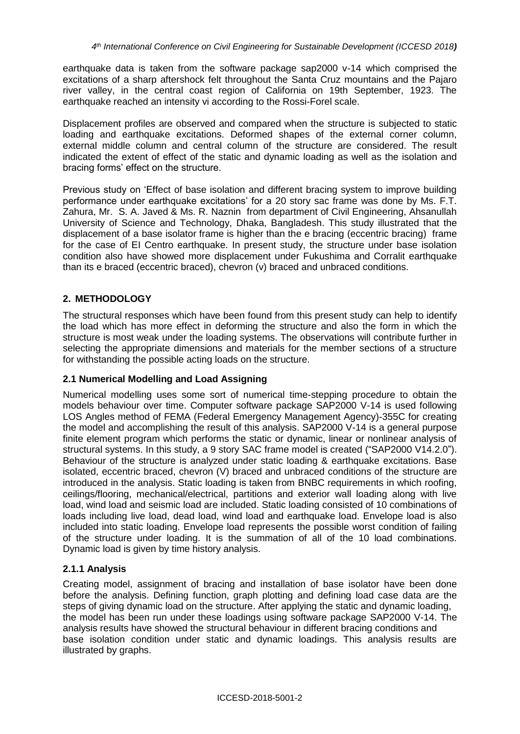earthquake data is taken from the software package sap2000 v-14 which comprised the excitations of a sharp aftershock felt throughout the Santa Cruz mountains and the Pajaro river valley, in the central coast region of California on 19th September, 1923. The earthquake reached an intensity vi according to the Rossi-Forel scale.

Displacement profiles are observed and compared when the structure is subjected to static loading and earthquake excitations. Deformed shapes of the external corner column, external middle column and central column of the structure are considered. The result indicated the extent of effect of the static and dynamic loading as well as the isolation and bracing forms' effect on the structure.

Previous study on 'Effect of base isolation and different bracing system to improve building performance under earthquake excitations' for a 20 story sac frame was done by Ms. F.T. Zahura, Mr. S. A. Javed & Ms. R. Naznin from department of Civil Engineering, Ahsanullah University of Science and Technology, Dhaka, Bangladesh. This study illustrated that the displacement of a base isolator frame is higher than the e bracing (eccentric bracing) frame for the case of EI Centro earthquake. In present study, the structure under base isolation condition also have showed more displacement under Fukushima and Corralit earthquake than its e braced (eccentric braced), chevron (v) braced and unbraced conditions.

# **2. METHODOLOGY**

The structural responses which have been found from this present study can help to identify the load which has more effect in deforming the structure and also the form in which the structure is most weak under the loading systems. The observations will contribute further in selecting the appropriate dimensions and materials for the member sections of a structure for withstanding the possible acting loads on the structure.

### **2.1 Numerical Modelling and Load Assigning**

Numerical modelling uses some sort of numerical time-stepping procedure to obtain the models behaviour over time. Computer software package SAP2000 V-14 is used following LOS Angles method of FEMA [\(Federal Emergency Management Agency\)](http://www.fema.gov/)-355C for creating the model and accomplishing the result of this analysis. SAP2000 V-14 is a general purpose finite element program which performs the static or dynamic, linear or nonlinear analysis of structural systems. In this study, a 9 story SAC frame model is created ("SAP2000 V14.2.0"). Behaviour of the structure is analyzed under static loading & earthquake excitations. Base isolated, eccentric braced, chevron (V) braced and unbraced conditions of the structure are introduced in the analysis. Static loading is taken from BNBC requirements in which roofing, ceilings/flooring, mechanical/electrical, partitions and exterior wall loading along with live load, wind load and seismic load are included. Static loading consisted of 10 combinations of loads including live load, dead load, wind load and earthquake load. Envelope load is also included into static loading. Envelope load represents the possible worst condition of failing of the structure under loading. It is the summation of all of the 10 load combinations. Dynamic load is given by time history analysis.

### **2.1.1 Analysis**

Creating model, assignment of bracing and installation of base isolator have been done before the analysis. Defining function, graph plotting and defining load case data are the steps of giving dynamic load on the structure. After applying the static and dynamic loading, the model has been run under these loadings using software package SAP2000 V-14. The analysis results have showed the structural behaviour in different bracing conditions and base isolation condition under static and dynamic loadings. This analysis results are illustrated by graphs.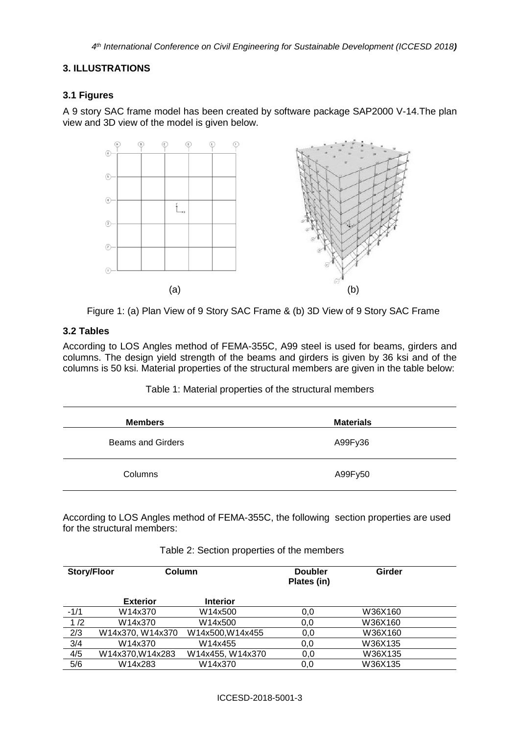### **3. ILLUSTRATIONS**

### **3.1 Figures**

A 9 story SAC frame model has been created by software package SAP2000 V-14.The plan view and 3D view of the model is given below.





### **3.2 Tables**

According to LOS Angles method of FEMA-355C, A99 steel is used for beams, girders and columns. The design yield strength of the beams and girders is given by 36 ksi and of the columns is 50 ksi. Material properties of the structural members are given in the table below:

| <b>Members</b>           | <b>Materials</b> |
|--------------------------|------------------|
| <b>Beams and Girders</b> | A99Fy36          |
| Columns                  | A99Fy50          |

Table 1: Material properties of the structural members

According to LOS Angles method of FEMA-355C, the following section properties are used for the structural members:

| <b>Story/Floor</b> |                  | Column           |     | <b>Girder</b> |  |
|--------------------|------------------|------------------|-----|---------------|--|
|                    | <b>Exterior</b>  | <b>Interior</b>  |     |               |  |
| $-1/1$             | W14x370          | W14x500          | 0,0 | W36X160       |  |
| 1/2                | W14x370          | W14x500          | 0,0 | W36X160       |  |
| 2/3                | W14x370, W14x370 | W14x500, W14x455 | 0,0 | W36X160       |  |
| 3/4                | W14x370          | W14x455          | 0,0 | W36X135       |  |
| 4/5                | W14x370, W14x283 | W14x455, W14x370 | 0,0 | W36X135       |  |
| 5/6                | W14x283          | W14x370          | 0,0 | W36X135       |  |

#### Table 2: Section properties of the members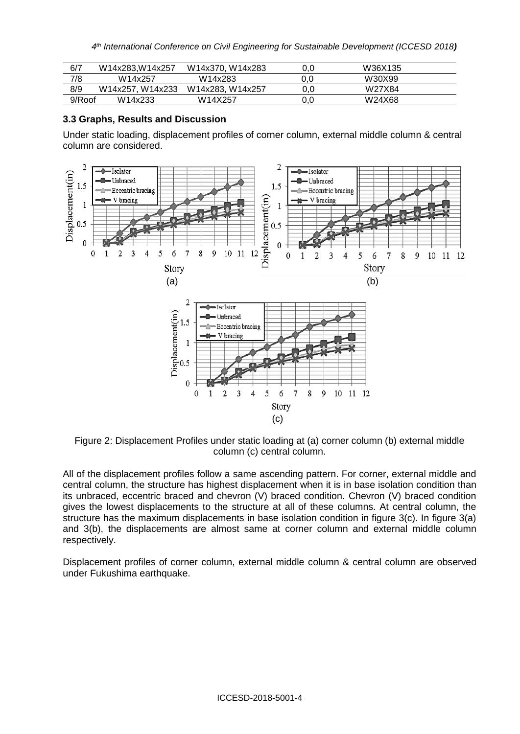| 6/7    | W14x283.W14x257  | W14x370, W14x283 | 0.0 | W36X135 |  |
|--------|------------------|------------------|-----|---------|--|
| 7/8    | W14x257          | W14x283          | 0.0 | W30X99  |  |
| 8/9    | W14x257, W14x233 | W14x283. W14x257 | 0.0 | W27X84  |  |
| 9/Roof | W14x233          | W14X257          | 0.0 | W24X68  |  |

#### **3.3 Graphs, Results and Discussion**

Under static loading, displacement profiles of corner column, external middle column & central column are considered.



Figure 2: Displacement Profiles under static loading at (a) corner column (b) external middle column (c) central column.

All of the displacement profiles follow a same ascending pattern. For corner, external middle and central column, the structure has highest displacement when it is in base isolation condition than its unbraced, eccentric braced and chevron (V) braced condition. Chevron (V) braced condition gives the lowest displacements to the structure at all of these columns. At central column, the structure has the maximum displacements in base isolation condition in figure 3(c). In figure 3(a) and 3(b), the displacements are almost same at corner column and external middle column respectively.

Displacement profiles of corner column, external middle column & central column are observed under Fukushima earthquake.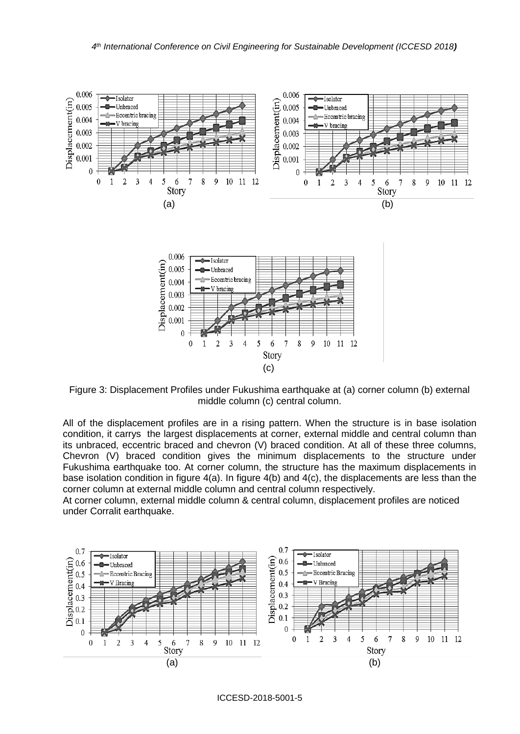

Figure 3: Displacement Profiles under Fukushima earthquake at (a) corner column (b) external middle column (c) central column.

All of the displacement profiles are in a rising pattern. When the structure is in base isolation condition, it carrys the largest displacements at corner, external middle and central column than its unbraced, eccentric braced and chevron (V) braced condition. At all of these three columns, Chevron (V) braced condition gives the minimum displacements to the structure under Fukushima earthquake too. At corner column, the structure has the maximum displacements in base isolation condition in figure  $4(a)$ . In figure  $4(b)$  and  $4(c)$ , the displacements are less than the corner column at external middle column and central column respectively.

At corner column, external middle column & central column, displacement profiles are noticed under Corralit earthquake.



ICCESD-2018-5001-5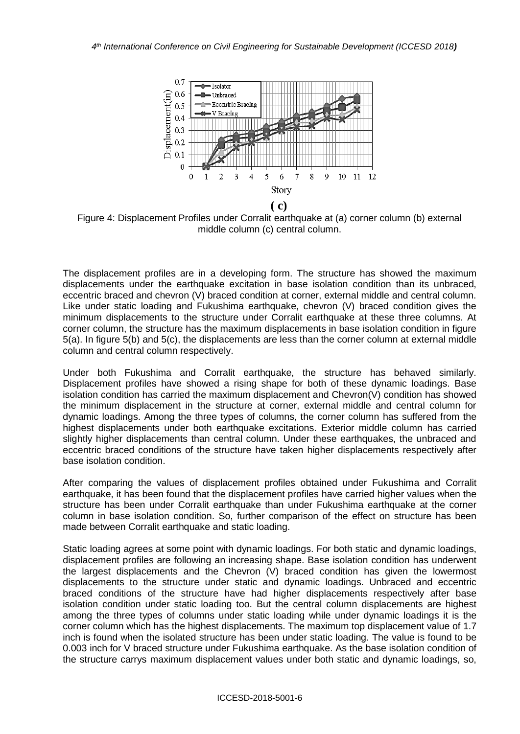

Figure 4: Displacement Profiles under Corralit earthquake at (a) corner column (b) external middle column (c) central column.

The displacement profiles are in a developing form. The structure has showed the maximum displacements under the earthquake excitation in base isolation condition than its unbraced, eccentric braced and chevron (V) braced condition at corner, external middle and central column. Like under static loading and Fukushima earthquake, chevron (V) braced condition gives the minimum displacements to the structure under Corralit earthquake at these three columns. At corner column, the structure has the maximum displacements in base isolation condition in figure 5(a). In figure 5(b) and 5(c), the displacements are less than the corner column at external middle column and central column respectively.

Under both Fukushima and Corralit earthquake, the structure has behaved similarly. Displacement profiles have showed a rising shape for both of these dynamic loadings. Base isolation condition has carried the maximum displacement and Chevron(V) condition has showed the minimum displacement in the structure at corner, external middle and central column for dynamic loadings. Among the three types of columns, the corner column has suffered from the highest displacements under both earthquake excitations. Exterior middle column has carried slightly higher displacements than central column. Under these earthquakes, the unbraced and eccentric braced conditions of the structure have taken higher displacements respectively after base isolation condition.

After comparing the values of displacement profiles obtained under Fukushima and Corralit earthquake, it has been found that the displacement profiles have carried higher values when the structure has been under Corralit earthquake than under Fukushima earthquake at the corner column in base isolation condition. So, further comparison of the effect on structure has been made between Corralit earthquake and static loading.

Static loading agrees at some point with dynamic loadings. For both static and dynamic loadings, displacement profiles are following an increasing shape. Base isolation condition has underwent the largest displacements and the Chevron (V) braced condition has given the lowermost displacements to the structure under static and dynamic loadings. Unbraced and eccentric braced conditions of the structure have had higher displacements respectively after base isolation condition under static loading too. But the central column displacements are highest among the three types of columns under static loading while under dynamic loadings it is the corner column which has the highest displacements. The maximum top displacement value of 1.7 inch is found when the isolated structure has been under static loading. The value is found to be 0.003 inch for V braced structure under Fukushima earthquake. As the base isolation condition of the structure carrys maximum displacement values under both static and dynamic loadings, so,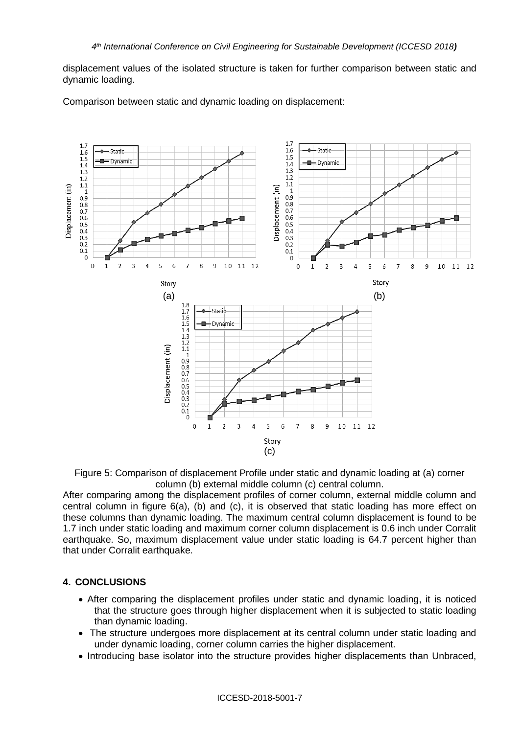displacement values of the isolated structure is taken for further comparison between static and dynamic loading.



Comparison between static and dynamic loading on displacement:

Figure 5: Comparison of displacement Profile under static and dynamic loading at (a) corner column (b) external middle column (c) central column.

After comparing among the displacement profiles of corner column, external middle column and central column in figure 6(a), (b) and (c), it is observed that static loading has more effect on these columns than dynamic loading. The maximum central column displacement is found to be 1.7 inch under static loading and maximum corner column displacement is 0.6 inch under Corralit earthquake. So, maximum displacement value under static loading is 64.7 percent higher than that under Corralit earthquake.

### **4. CONCLUSIONS**

- After comparing the displacement profiles under static and dynamic loading, it is noticed that the structure goes through higher displacement when it is subjected to static loading than dynamic loading.
- The structure undergoes more displacement at its central column under static loading and under dynamic loading, corner column carries the higher displacement.
- Introducing base isolator into the structure provides higher displacements than Unbraced,